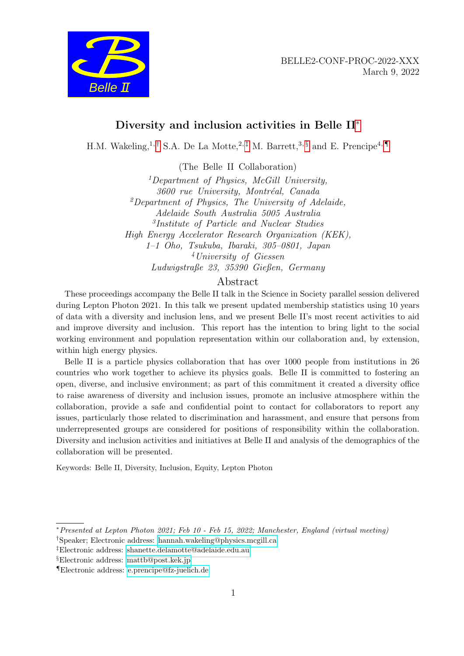



# Diversity and inclusion activities in Belle II[∗](#page-0-0)

H.M. Wakeling,<sup>1,[†](#page-0-1)</sup> S.A. De La Motte,<sup>2,[‡](#page-0-2)</sup> M. Barrett,<sup>3, [§](#page-0-3)</sup> and E. Prencipe<sup>4,</sup>

(The Belle II Collaboration)

<sup>1</sup>Department of Physics, McGill University, 3600 rue University, Montréal, Canada  ${}^{2}$ Department of Physics, The University of Adelaide, Adelaide South Australia 5005 Australia 3 Institute of Particle and Nuclear Studies High Energy Accelerator Research Organization (KEK), 1–1 Oho, Tsukuba, Ibaraki, 305–0801, Japan <sup>4</sup>University of Giessen Ludwigstraße 23, 35390 Gießen, Germany

## Abstract

These proceedings accompany the Belle II talk in the Science in Society parallel session delivered during Lepton Photon 2021. In this talk we present updated membership statistics using 10 years of data with a diversity and inclusion lens, and we present Belle II's most recent activities to aid and improve diversity and inclusion. This report has the intention to bring light to the social working environment and population representation within our collaboration and, by extension, within high energy physics.

Belle II is a particle physics collaboration that has over 1000 people from institutions in 26 countries who work together to achieve its physics goals. Belle II is committed to fostering an open, diverse, and inclusive environment; as part of this commitment it created a diversity office to raise awareness of diversity and inclusion issues, promote an inclusive atmosphere within the collaboration, provide a safe and confidential point to contact for collaborators to report any issues, particularly those related to discrimination and harassment, and ensure that persons from underrepresented groups are considered for positions of responsibility within the collaboration. Diversity and inclusion activities and initiatives at Belle II and analysis of the demographics of the collaboration will be presented.

Keywords: Belle II, Diversity, Inclusion, Equity, Lepton Photon

<span id="page-0-1"></span><span id="page-0-0"></span><sup>∗</sup>Presented at Lepton Photon 2021; Feb 10 - Feb 15, 2022; Manchester, England (virtual meeting) †Speaker; Electronic address: [hannah.wakeling@physics.mcgill.ca](mailto:hannah.wakeling@physics.mcgill.ca)

<span id="page-0-2"></span><sup>‡</sup>Electronic address: [shanette.delamotte@adelaide.edu.au](mailto:shanette.delamotte@adelaide.edu.au)

<span id="page-0-3"></span>

<span id="page-0-4"></span><sup>§</sup>Electronic address: [mattb@post.kek.jp](mailto:mattb@post.kek.jp)

<sup>¶</sup>Electronic address: [e.prencipe@fz-juelich.de](mailto:e.prencipe@fz-juelich.de)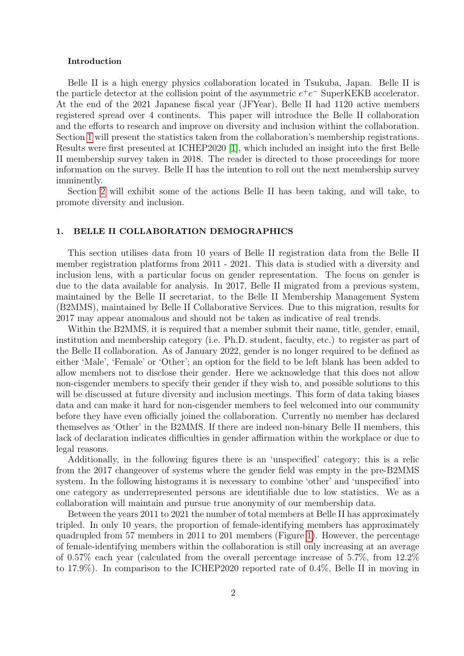#### Introduction

Belle II is a high energy physics collaboration located in Tsukuba, Japan. Belle II is the particle detector at the collision point of the asymmetric  $e^+e^-$  SuperKEKB accelerator. At the end of the 2021 Japanese fiscal year (JFYear), Belle II had 1120 active members registered spread over 4 continents. This paper will introduce the Belle II collaboration and the efforts to research and improve on diversity and inclusion withint the collaboration. Section [1](#page-1-0) will present the statistics taken from the collaboration's membership registrations. Results were first presented at ICHEP2020 [\[1\]](#page-4-0), which included an insight into the first Belle II membership survey taken in 2018. The reader is directed to those proceedings for more information on the survey. Belle II has the intention to roll out the next membership survey imminently.

Section [2](#page-3-0) will exhibit some of the actions Belle II has been taking, and will take, to promote diversity and inclusion.

#### <span id="page-1-0"></span>1. BELLE II COLLABORATION DEMOGRAPHICS

This section utilises data from 10 years of Belle II registration data from the Belle II member registration platforms from 2011 - 2021. This data is studied with a diversity and inclusion lens, with a particular focus on gender representation. The focus on gender is due to the data available for analysis. In 2017, Belle II migrated from a previous system, maintained by the Belle II secretariat, to the Belle II Membership Management System (B2MMS), maintained by Belle II Collaborative Services. Due to this migration, results for 2017 may appear anomalous and should not be taken as indicative of real trends.

Within the B2MMS, it is required that a member submit their name, title, gender, email, institution and membership category (i.e. Ph.D. student, faculty, etc.) to register as part of the Belle II collaboration. As of January 2022, gender is no longer required to be defined as either 'Male', 'Female' or 'Other'; an option for the field to be left blank has been added to allow members not to disclose their gender. Here we acknowledge that this does not allow non-cisgender members to specify their gender if they wish to, and possible solutions to this will be discussed at future diversity and inclusion meetings. This form of data taking biases data and can make it hard for non-cisgender members to feel welcomed into our community before they have even officially joined the collaboration. Currently no member has declared themselves as 'Other' in the B2MMS. If there are indeed non-binary Belle II members, this lack of declaration indicates difficulties in gender affirmation within the workplace or due to legal reasons.

Additionally, in the following figures there is an 'unspecified' category; this is a relic from the 2017 changeover of systems where the gender field was empty in the pre-B2MMS system. In the following histograms it is necessary to combine 'other' and 'unspecified' into one category as underrepresented persons are identifiable due to low statistics. We as a collaboration will maintain and pursue true anonymity of our membership data.

Between the years 2011 to 2021 the number of total members at Belle II has approximately tripled. In only 10 years, the proportion of female-identifying members has approximately quadrupled from 57 members in 2011 to 201 members (Figure [1\)](#page-2-0). However, the percentage of female-identifying members within the collaboration is still only increasing at an average of 0.57% each year (calculated from the overall percentage increase of 5.7%, from 12.2% to 17.9%). In comparison to the ICHEP2020 reported rate of 0.4%, Belle II in moving in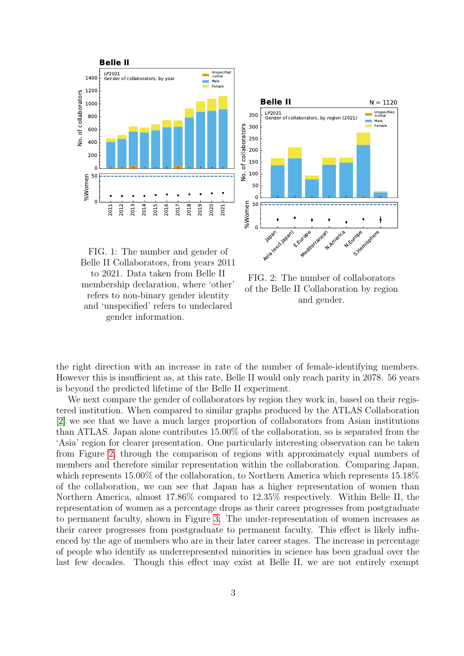<span id="page-2-0"></span>



FIG. 1: The number and gender of Belle II Collaborators, from years 2011 to 2021. Data taken from Belle II membership declaration, where 'other' refers to non-binary gender identity and 'unspecified' refers to undeclared gender information.

FIG. 2: The number of collaborators of the Belle II Collaboration by region and gender.

the right direction with an increase in rate of the number of female-identifying members. However this is insufficient as, at this rate, Belle II would only reach parity in 2078. 56 years is beyond the predicted lifetime of the Belle II experiment.

We next compare the gender of collaborators by region they work in, based on their registered institution. When compared to similar graphs produced by the ATLAS Collaboration [\[2\]](#page-4-1) we see that we have a much larger proportion of collaborators from Asian institutions than ATLAS. Japan alone contributes 15.00% of the collaboration, so is separated from the 'Asia' region for clearer presentation. One particularly interesting observation can be taken from Figure [2,](#page-2-0) through the comparison of regions with approximately equal numbers of members and therefore similar representation within the collaboration. Comparing Japan, which represents 15.00% of the collaboration, to Northern America which represents 15.18% of the collaboration, we can see that Japan has a higher representation of women than Northern America, almost 17.86% compared to 12.35% respectively. Within Belle II, the representation of women as a percentage drops as their career progresses from postgraduate to permanent faculty, shown in Figure [3.](#page-3-1) The under-representation of women increases as their career progresses from postgraduate to permanent faculty. This effect is likely influenced by the age of members who are in their later career stages. The increase in percentage of people who identify as underrepresented minorities in science has been gradual over the last few decades. Though this effect may exist at Belle II, we are not entirely exempt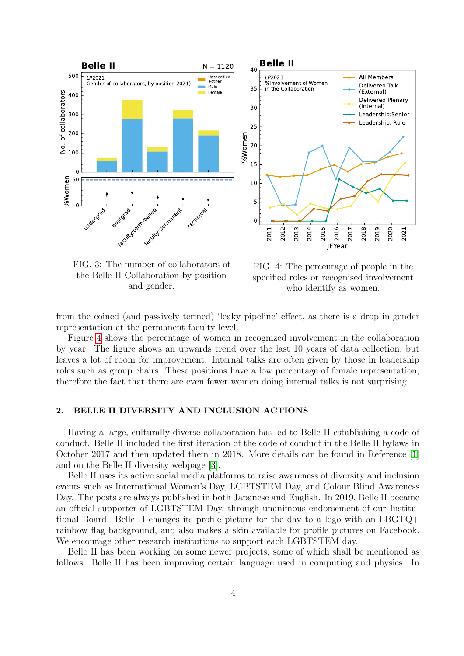<span id="page-3-1"></span>

the Belle II Collaboration by position and gender.



from the coined (and passively termed) 'leaky pipeline' effect, as there is a drop in gender representation at the permanent faculty level.

Figure [4](#page-3-1) shows the percentage of women in recognized involvement in the collaboration by year. The figure shows an upwards trend over the last 10 years of data collection, but leaves a lot of room for improvement. Internal talks are often given by those in leadership roles such as group chairs. These positions have a low percentage of female representation, therefore the fact that there are even fewer women doing internal talks is not surprising.

### <span id="page-3-0"></span>2. BELLE II DIVERSITY AND INCLUSION ACTIONS

Having a large, culturally diverse collaboration has led to Belle II establishing a code of conduct. Belle II included the first iteration of the code of conduct in the Belle II bylaws in October 2017 and then updated them in 2018. More details can be found in Reference [\[1\]](#page-4-0) and on the Belle II diversity webpage [\[3\]](#page-4-2).

Belle II uses its active social media platforms to raise awareness of diversity and inclusion events such as International Women's Day, LGBTSTEM Day, and Colour Blind Awareness Day. The posts are always published in both Japanese and English. In 2019, Belle II became an official supporter of LGBTSTEM Day, through unanimous endorsement of our Institutional Board. Belle II changes its profile picture for the day to a logo with an LBGTQ+ rainbow flag background, and also makes a skin available for profile pictures on Facebook. We encourage other research institutions to support each LGBTSTEM day.

Belle II has been working on some newer projects, some of which shall be mentioned as follows. Belle II has been improving certain language used in computing and physics. In